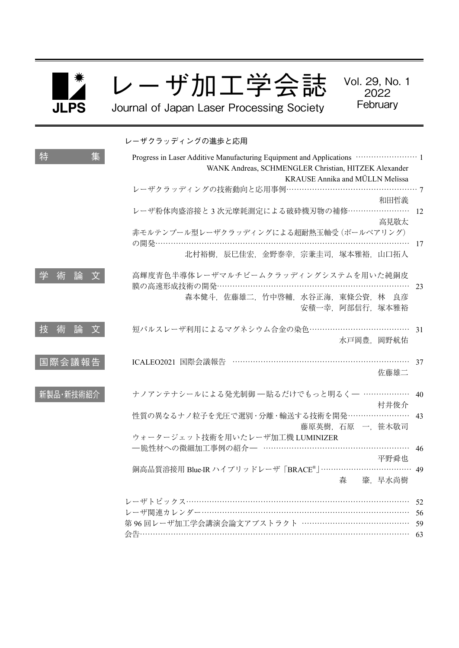

レーザ加工学会誌

Vol. 29, No. 1 2022 **February** 

Journal of Japan Laser Processing Society

|             | レーザクラッディングの進歩と応用                                                              |
|-------------|-------------------------------------------------------------------------------|
| 特<br>集      | WANK Andreas, SCHMENGLER Christian, HITZEK Alexander                          |
|             | KRAUSE Annika and MÜLLN Melissa                                               |
|             | レーザクラッディングの技術動向と応用事例…………………………………………………?<br>和田哲義                              |
|             | レーザ粉体肉盛溶接と3次元摩耗測定による破砕機刃物の補修…………………… 12<br>高見敬太                               |
|             | 非モルテンプール型レーザクラッディングによる超耐熱玉軸受 (ボールベアリング)                                       |
|             | 17                                                                            |
|             | 北村裕樹, 辰巳佳宏, 金野泰幸, 宗兼圭司, 塚本雅裕, 山口拓人                                            |
| 論<br>学<br>術 | 高輝度青色半導体レーザマルチビームクラッディングシステムを用いた純銅皮<br>膜の高速形成技術の開発……………………………………………………………… 23 |
|             | 森本健斗, 佐藤雄二, 竹中啓輔, 水谷正海, 東條公資, 林 良彦<br>安積一幸, 阿部信行, 塚本雅裕                        |
| 技<br>術<br>論 | 短パルスレーザ利用によるマグネシウム合金の染色………………………………… 31                                       |
|             | 水戸岡豊、岡野航佑                                                                     |
| 国際会議報告      | ICALEO2021 国際会議報告 ………………………………………………………… 37<br>佐藤雄二                           |
| 新製品·新技術紹介   | ナノアンテナシールによる発光制御 一貼るだけでもっと明るく– ……………… 40<br>村井俊介                              |
|             | 性質の異なるナノ粒子を光圧で選別·分離·輸送する技術を開発…………………… 43                                      |
|             | 藤原英樹, 石原 一, 笹木敬司                                                              |
|             | ウォータージェット技術を用いたレーザ加工機 LUMINIZER                                               |
|             | 一脆性材への微細加工事例の紹介ー ……………………………………………… 46                                        |
|             | 平野舜也<br>銅高品質溶接用 Blue-IR ハイブリッドレーザ「BRACE®」……………………………… 49                      |
|             | 森 肇,早水尚樹                                                                      |
|             | レーザトピックス……………………………………………………………………………<br>-52                                  |
|             | レーザ関連カレンダー……………………………………………………………………<br>- 56                                  |
|             | 第96回レーザ加工学会講演会論文アブストラクト ……………………………………<br>59                                  |
|             |                                                                               |